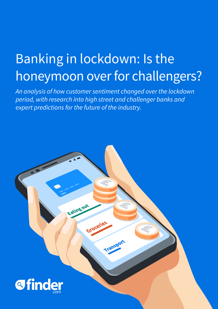# Banking in lockdown: Is the honeymoon over for challengers?

*An analysis of how customer sentiment changed over the lockdown period, with research into high street and challenger banks and expert predictions for the future of the industry.*

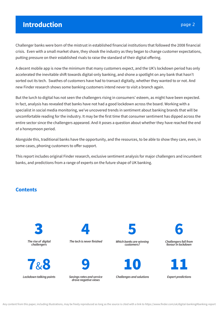## **Introduction page 2**

Challenger banks were born of the mistrust in established financial institutions that followed the 2008 financial crisis. Even with a small market share, they shook the industry as they began to change customer expectations, putting pressure on their established rivals to raise the standard of their digital offering.

A decent mobile app is now the minimum that many customers expect, and the UK's lockdown period has only accelerated the inevitable shift towards digital-only banking, and shone a spotlight on any bank that hasn't sorted out its tech. Swathes of customers have had to transact digitally, whether they wanted to or not. And new Finder research shows some banking customers intend never to visit a branch again.

But the lurch to digital has not seen the challengers rising in consumers' esteem, as might have been expected. In fact, analysis has revealed that banks have not had a good lockdown across the board. Working with a specialist in social media monitoring, we've uncovered trends in sentiment about banking brands that will be uncomfortable reading for the industry. It may be the first time that consumer sentiment has dipped across the entire sector since the challengers appeared. And it poses a question about whether they have reached the end of a honeymoon period.

Alongside this, traditional banks have the opportunity, and the resources, to be able to show they care, even, in some cases, phoning customers to offer support.

This report includes original Finder research, exclusive sentiment analysis for major challengers and incumbent banks, and predictions from a range of experts on the future shape of UK banking.

#### **Contents**

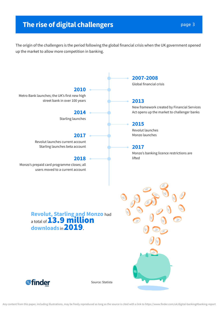## **The rise of digital challengers page 3** page 3

**2010**

The origin of the challengers is the period following the global financial crisis when the UK government opened up the market to allow more competition in banking.

## Metro Bank launches; the UK's first new high street bank in over 100 years **2013** New framework created by Financial Services Act opens up the market to challenger banks **2014** Starling launches **2015** Revolut launches **2017** Monzo launches Revolut launches current account Starling launches beta account **2017** Monzo's banking licence restrictions are lifted **2018** Monzo's prepaid card programme closes; all users moved to a current account **Revolut, Starling and Monzo** had a total of**13.9 million downloads** in **2019.** *<u>ofinder</u>* Source: Statista

<span id="page-2-1"></span><span id="page-2-0"></span>**2007-2008** Global financial crisis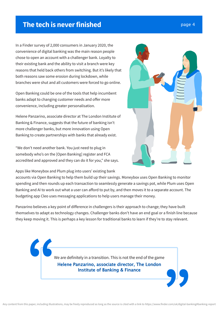## <span id="page-3-0"></span>**The tech is never finished**

In a Finder survey of 2,000 consumers in January 2020, the convenience of digital banking was the main reason people chose to open an account with a challenger bank. Loyalty to their existing bank and the ability to visit a branch were key reasons that held back others from switching. But it's likely that both reasons saw some erosion during lockdown, while branches were shut and all customers were forced to go online.

Open Banking could be one of the tools that help incumbent banks adapt to changing customer needs and offer more convenience, including greater personalisation.

Helene Panzarino, associate director at The London Institute of Banking & Finance, suggests that the future of banking isn't more challenger banks, but more innovation using Open Banking to create partnerships with banks that already exist.

"We don't need another bank. You just need to plug in somebody who's on the [Open Banking] register and FCA accredited and approved and they can do it for you," she says.

Apps like Moneybox and Plum plug into users' existing bank

accounts via Open Banking to help them build up their savings. Moneybox uses Open Banking to monitor spending and then rounds up each transaction to seamlessly generate a savings pot, while Plum uses Open Banking and AI to work out what a user can afford to put by, and then moves it to a separate account. The budgeting app Cleo uses messaging applications to help users manage their money.

Panzarino believes a key point of difference in challengers is their approach to change; they have built themselves to adapt as technology changes. Challenger banks don't have an end goal or a finish line because they keep moving it. This is perhaps a key lesson for traditional banks to learn if they're to stay relevant.

> We are definitely in a transition. This is not the end of the game Helene Panzarino, associate director, The London Institute of Banking & Finance

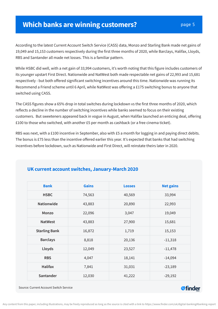## <span id="page-4-0"></span>**Which banks are winning customers? Page 5** page 5

According to the latest Current Account Switch Service (CASS) data, Monzo and Starling Bank made net gains of 19,049 and 15,153 customers respectively during the first three months of 2020, while Barclays, Halifax, Lloyds, RBS and Santander all made net losses. This is a familiar pattern.

While HSBC did well, with a net gain of 33,994 customers, it's worth noting that this figure includes customers of its younger upstart First Direct. Nationwide and NatWest both made respectable net gains of 22,993 and 15,681 respectively - but both offered significant switching incentives around this time. Nationwide was running its Recommend a Friend scheme until 6 April, while NatWest was offering a £175 switching bonus to anyone that switched using CASS.

The CASS figures show a 65% drop in total switches during lockdown vs the first three months of 2020, which reflects a decline in the number of switching incentives while banks seemed to focus on their existing customers. But sweeteners appeared back in vogue in August, when Halifax launched an enticing deal, offering £100 to those who switched, with another £5 per month as cashback (or a free cinema ticket).

RBS was next, with a £100 incentive in September, also with £5 a month for logging in and paying direct debits. The bonus is £75 less than the incentive offered earlier this year. It's expected that banks that had switching incentives before lockdown, such as Nationwide and First Direct, will reinstate theirs later in 2020.

| <b>Bank</b>          | <b>Gains</b> | <b>Losses</b> | <b>Net gains</b> |
|----------------------|--------------|---------------|------------------|
| <b>HSBC</b>          | 74,563       | 40,569        | 33,994           |
| <b>Nationwide</b>    | 43,883       | 20,890        | 22,993           |
| Monzo                | 22,096       | 3,047         | 19,049           |
| <b>NatWest</b>       | 43,883       | 27,900        | 15,681           |
| <b>Starling Bank</b> | 16,872       | 1,719         | 15,153           |
| <b>Barclays</b>      | 8,818        | 20,136        | $-11,318$        |
| Lloyds               | 12,049       | 23,527        | $-11,478$        |
| <b>RBS</b>           | 4,047        | 18,141        | $-14,094$        |
| <b>Halifax</b>       | 7,841        | 31,031        | $-23,189$        |
| Santander            | 12,030       | 41,222        | $-29,192$        |

#### **UK current account switches, January-March 2020**

Source: Current Account Switch Service

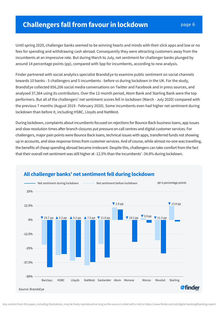## <span id="page-5-0"></span>**Challengers fall from favour in lockdown** page 6

Until spring 2020, challenger banks seemed to be winning hearts and minds with their slick apps and low or no fees for spending and withdrawing cash abroad. Consequently they were attracting customers away from the incumbents at an impressive rate. But during March to July, net sentiment for challenger banks plunged by around 14 percentage points (pp), compared with 5pp for incumbents, according to new analysis.

Finder partnered with social analytics specialist BrandsEye to examine public sentiment on social channels towards 10 banks - 5 challengers and 5 incumbents - before vs during lockdown in the UK. For the study, BrandsEye collected 856,206 social media conversations on Twitter and Facebook and in press sources, and analysed 37,364 using its contributors. Over the 12-month period, Atom Bank and Starling Bank were the top performers. But all of the challengers' net sentiment scores fell in lockdown (March - July 2020) compared with the previous 7 months (August 2019 - February 2020). Some incumbents even had higher net sentiment during lockdown than before it, including HSBC, Lloyds and NatWest.

During lockdown, complaints about incumbents focused on rejections for Bounce Back business loans, app issues and slow resolution times after branch closures put pressure on call centres and digital customer services. For challengers, major pain points were Bounce Back loans, technical issues with apps, transferred funds not showing up in accounts, and slow response times from customer services. And of course, while almost no-one was travelling, the benefits of cheap spending abroad became irrelevant. Despite this, challengers can take comfort from the fact that their overall net sentiment was still higher at -12.5% than the incumbents' -34.8% during lockdown.



#### **All challenger banks' net sentiment fell during lockdown**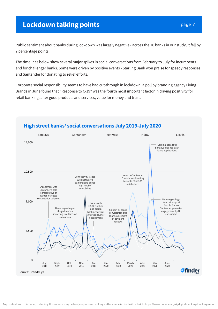## <span id="page-6-0"></span>**Lockdown talking points page 7 page 7**

Public sentiment about banks during lockdown was largely negative - across the 10 banks in our study, it fell by 7 percentage points.

The timelines below show several major spikes in social conversations from February to July for incumbents and for challenger banks. Some were driven by positive events - Starling Bank won praise for speedy responses and Santander for donating to relief efforts.

Corporate social responsibility seems to have had cut-through in lockdown; a poll by branding agency Living Brands in June found that "Response to C-19" was the fourth most important factor in driving positivity for retail banking, after good products and services, value for money and trust.



#### **High street banks' social conversations July 2019-July 2020**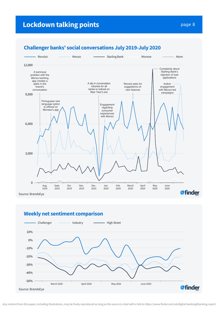## **Lockdown talking points page 8 page 8**

#### - Revolut **All Accord Monzo Monese** Atom Starling Bank Monese **Monese** Atom 12,000 Complaints about Starling Bank's A technical problem with the rejection of loan Monzo banking applications app creates a A dip in conversation Revolut asks for Author spike in the volumes for all engagement brand's suggestions on banks is noticed on with Monzo-led new features conversation New Year's eve campaigns 9,000 Portuguese new language option Engagement is offered on regarding Monese's app consumer experiences with Monzo 6,000 3,000  $\Omega$ Aug. Sept. Oct. Nov. Dec. Jan. Feb. March April May June 2019 2019 2019 2019 2020 2020 2020 2020 2020 2020 2019 *<u>ofinder</u>* Source: BrandsEye

### **Challenger banks' social conversations July 2019-July 2020**

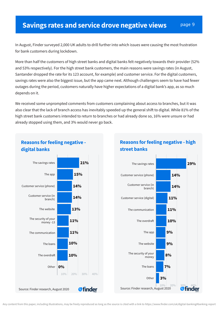<span id="page-8-0"></span>In August, Finder surveyed 2,000 UK adults to drill further into which issues were causing the most frustration for bank customers during lockdown.

More than half the customers of high street banks and digital banks felt negatively towards their provider (52% and 53% respectively). For the high street bank customers, the main reasons were savings rates (in August, Santander dropped the rate for its 123 account, for example) and customer service. For the digital customers, savings rates were also the biggest issue, but the app came next. Although challengers seem to have had fewer outages during the period, customers naturally have higher expectations of a digital bank's app, as so much depends on it.

We received some unprompted comments from customers complaining about access to branches, but it was also clear that the lack of branch access has inevitably speeded up the general shift to digital. While 81% of the high street bank customers intended to return to branches or had already done so, 16% were unsure or had already stopped using them, and 3% would never go back.





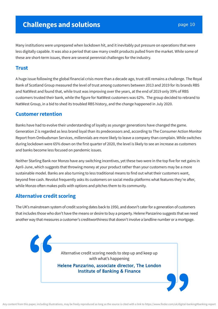<span id="page-9-0"></span>Many institutions were unprepared when lockdown hit, and it inevitably put pressure on operations that were less digitally capable. It was also a period that saw many credit products pulled from the market. While some of these are short-term issues, there are several perennial challenges for the industry.

#### **Trust**

A huge issue following the global financial crisis more than a decade ago, trust still remains a challenge. The Royal Bank of Scotland Group measured the level of trust among customers between 2013 and 2019 for its brands RBS and NatWest and found that, while trust was improving over the years, at the end of 2019 only 39% of RBS customers trusted their bank, while the figure for NatWest customers was 62%. The group decided to rebrand to NatWest Group, in a bid to shed its troubled RBS history, and the change happened in July 2020.

#### **Customer retention**

Banks have had to evolve their understanding of loyalty as younger generations have changed the game. Generation Z is regarded as less brand loyal than its predecessors and, according to The Consumer Action Monitor Report from Ombudsman Services, millennials are more likely to leave a company than complain. While switches during lockdown were 65% down on the first quarter of 2020, the level is likely to see an increase as customers and banks become less focused on pandemic issues.

Neither Starling Bank nor Monzo have any switching incentives, yet these two were in the top five for net gains in April-June, which suggests that throwing money at your product rather than your customers may be a more sustainable model. Banks are also turning to less traditional means to find out what their customers want, beyond free cash. Revolut frequently asks its customers on social media platforms what features they're after, while Monzo often makes polls with options and pitches them to its community.

#### **Alternative credit scoring**

The UK's mainstream system of credit scoring dates back to 1950, and doesn't cater for a generation of customers that includes those who don't have the means or desire to buy a property. Helene Panzarino suggests that we need another way that measures a customer's creditworthiness that doesn't involve a landline number or a mortgage.

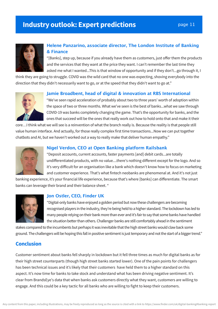## <span id="page-10-1"></span>**Industry outlook: Expert predictions page 11**



#### <span id="page-10-0"></span>**Helene Panzarino, associate director, The London Institute of Banking & Finance**

"[Banks], step up, because if you already have them as customers, just offer them the products and the services that they want at the price they want. I can't remember the last time they asked me what I wanted...This is that window of opportunity and if they don't...go through it, I

think they are going to struggle. COVID was the wild card that no one was expecting, shoving everybody into the direction that they didn't necessarily want to go, or at the speed that they didn't want to go at."



#### **Jamie Broadbent, head of digital & innovation at RBS International**

"We've seen rapid acceleration of probably about two to three years' worth of adoption within the space of two or three months. What we've seen is the best of banks...what we saw through COVID-19 was banks completely changing the game. That's the opportunity for banks, and the ones that succeed will be the ones that really work out how to hold onto that and make it their

core…I think what we will see is a reinvention of what the branch really is. Because the reality is that people still value human interface. And actually, for those really complex first time transactions...Now we can put together chatbots and AI, but we haven't worked out a way to really make that deliver human empathy."



#### **Nigel Verdon, CEO at Open Banking platform Railsbank**

"Deposit accounts, current accounts, faster payments [and] debit cards...are totally undifferentiated products, with no value....there's nothing different except for the logo. And so it's very difficult for an organisation like a bank which doesn't know how to focus on marketing and customer experience. That's what fintech neobanks are phenomenal at. And it's not just

banking experience, it's your financial life experience, because that's where [banks] can differentiate. The smart banks can leverage their brand and their balance sheet. "



#### **Jon Ostler, CEO, Finder UK**

"Digital-only banks have enjoyed a golden period but now these challengers are becoming recognised players in the industry, they're being held to a higher standard. The lockdown has led to many people relying on their bank more than ever and it's fair to say that some banks have handled the situation better than others. Challenger banks are still comfortably ahead in the sentiment

stakes compared to the incumbents but perhaps it was inevitable that the high street banks would claw back some ground. The challengers will be hoping thisfall in positive sentiment is just temporary and not the start of a bigger trend."

#### **Conclusion**

Customer sentiment about banks fell sharply in lockdown but it fell three times as much for digital banks as for their high street counterparts (though high street banks started lower). One of the pain points for challengers has been technical issues and it's likely that their customers have held them to a higher standard on this aspect. It's now time for banks to take stock and understand what has been driving negative sentiment. It's clear from BrandsEye's data that when banks ask customers directly what they want, customers are willing to engage. And this could be a key tactic for all banks who are willing to fight to keep their customers.